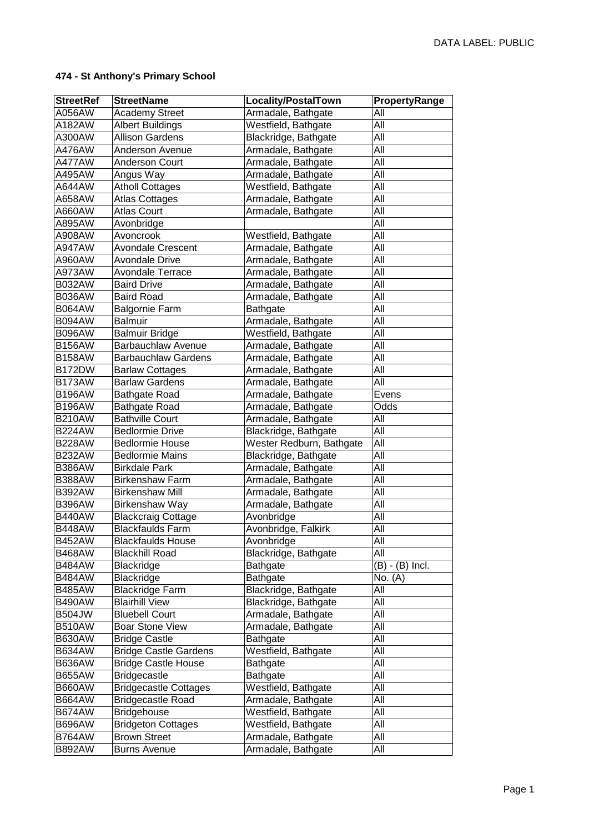| <b>StreetRef</b> | <b>StreetName</b>            | Locality/PostalTown      | PropertyRange     |
|------------------|------------------------------|--------------------------|-------------------|
| A056AW           | <b>Academy Street</b>        | Armadale, Bathgate       | All               |
| A182AW           | <b>Albert Buildings</b>      | Westfield, Bathgate      | All               |
| A300AW           | <b>Allison Gardens</b>       | Blackridge, Bathgate     | All               |
| A476AW           | Anderson Avenue              | Armadale, Bathgate       | All               |
| A477AW           | <b>Anderson Court</b>        | Armadale, Bathgate       | All               |
| A495AW           | Angus Way                    | Armadale, Bathgate       | All               |
| A644AW           | <b>Atholl Cottages</b>       | Westfield, Bathgate      | All               |
| A658AW           | <b>Atlas Cottages</b>        | Armadale, Bathgate       | All               |
| A660AW           | <b>Atlas Court</b>           | Armadale, Bathgate       | All               |
| A895AW           | Avonbridge                   |                          | All               |
| A908AW           | Avoncrook                    | Westfield, Bathgate      | All               |
| <b>A947AW</b>    | Avondale Crescent            | Armadale, Bathgate       | All               |
| A960AW           | <b>Avondale Drive</b>        | Armadale, Bathgate       | All               |
| A973AW           | <b>Avondale Terrace</b>      | Armadale, Bathgate       | All               |
| <b>B032AW</b>    | <b>Baird Drive</b>           | Armadale, Bathgate       | All               |
| <b>B036AW</b>    | <b>Baird Road</b>            | Armadale, Bathgate       | All               |
| <b>B064AW</b>    | <b>Balgornie Farm</b>        | <b>Bathgate</b>          | All               |
| <b>B094AW</b>    | <b>Balmuir</b>               | Armadale, Bathgate       | All               |
| <b>B096AW</b>    | <b>Balmuir Bridge</b>        | Westfield, Bathgate      | All               |
| <b>B156AW</b>    | <b>Barbauchlaw Avenue</b>    | Armadale, Bathgate       | All               |
| <b>B158AW</b>    | <b>Barbauchlaw Gardens</b>   | Armadale, Bathgate       | All               |
| <b>B172DW</b>    | <b>Barlaw Cottages</b>       | Armadale, Bathgate       | All               |
| <b>B173AW</b>    | <b>Barlaw Gardens</b>        | Armadale, Bathgate       | All               |
| <b>B196AW</b>    | <b>Bathgate Road</b>         | Armadale, Bathgate       | Evens             |
| <b>B196AW</b>    | <b>Bathgate Road</b>         | Armadale, Bathgate       | Odds              |
| <b>B210AW</b>    | <b>Bathville Court</b>       | Armadale, Bathgate       | All               |
| <b>B224AW</b>    | <b>Bedlormie Drive</b>       | Blackridge, Bathgate     | All               |
| <b>B228AW</b>    | <b>Bedlormie House</b>       | Wester Redburn, Bathgate | All               |
| <b>B232AW</b>    | <b>Bedlormie Mains</b>       | Blackridge, Bathgate     | All               |
| <b>B386AW</b>    | <b>Birkdale Park</b>         | Armadale, Bathgate       | All               |
| <b>B388AW</b>    | <b>Birkenshaw Farm</b>       | Armadale, Bathgate       | All               |
| <b>B392AW</b>    | <b>Birkenshaw Mill</b>       | Armadale, Bathgate       | All               |
| <b>B396AW</b>    | Birkenshaw Way               | Armadale, Bathgate       | All               |
| <b>B440AW</b>    | <b>Blackcraig Cottage</b>    | Avonbridge               | All               |
| <b>B448AW</b>    | <b>Blackfaulds Farm</b>      | Avonbridge, Falkirk      | All               |
| <b>B452AW</b>    | <b>Blackfaulds House</b>     | Avonbridge               | All               |
| <b>B468AW</b>    | <b>Blackhill Road</b>        | Blackridge, Bathgate     | All               |
| <b>B484AW</b>    | Blackridge                   | <b>Bathgate</b>          | $(B) - (B)$ Incl. |
| <b>B484AW</b>    | Blackridge                   | <b>Bathgate</b>          | No. (A)           |
| <b>B485AW</b>    | <b>Blackridge Farm</b>       | Blackridge, Bathgate     | All               |
| <b>B490AW</b>    | <b>Blairhill View</b>        | Blackridge, Bathgate     | All               |
| <b>B504JW</b>    | <b>Bluebell Court</b>        | Armadale, Bathgate       | All               |
| <b>B510AW</b>    | <b>Boar Stone View</b>       | Armadale, Bathgate       | All               |
| <b>B630AW</b>    | <b>Bridge Castle</b>         | Bathgate                 | All               |
| <b>B634AW</b>    | <b>Bridge Castle Gardens</b> | Westfield, Bathgate      | All               |
| <b>B636AW</b>    | <b>Bridge Castle House</b>   | Bathgate                 | All               |
| <b>B655AW</b>    | <b>Bridgecastle</b>          | Bathgate                 | All               |
| <b>B660AW</b>    | <b>Bridgecastle Cottages</b> | Westfield, Bathgate      | All               |
| <b>B664AW</b>    | <b>Bridgecastle Road</b>     | Armadale, Bathgate       | All               |
| <b>B674AW</b>    | <b>Bridgehouse</b>           | Westfield, Bathgate      | All               |
| <b>B696AW</b>    | <b>Bridgeton Cottages</b>    | Westfield, Bathgate      | All               |
| <b>B764AW</b>    | <b>Brown Street</b>          | Armadale, Bathgate       | All               |
| <b>B892AW</b>    | <b>Burns Avenue</b>          | Armadale, Bathgate       | All               |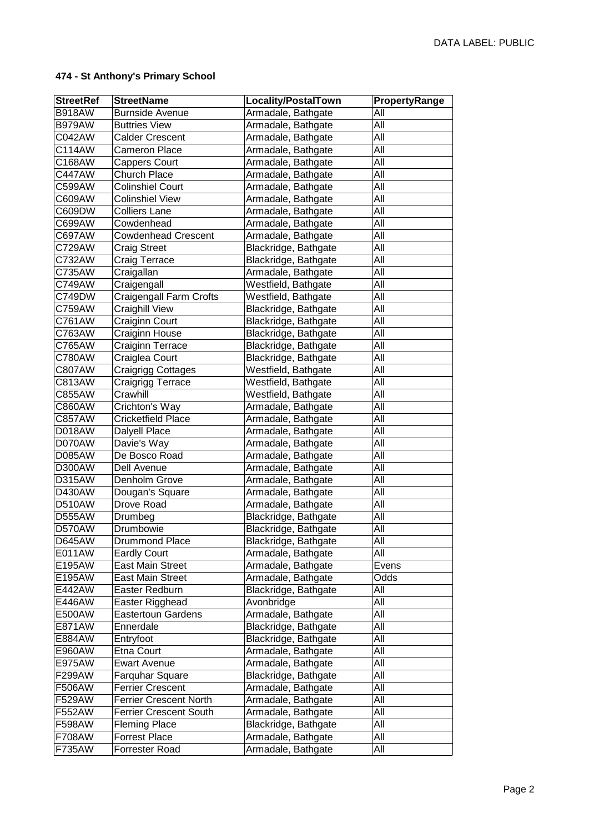| <b>StreetRef</b> | <b>StreetName</b>             | <b>Locality/PostalTown</b> | PropertyRange |
|------------------|-------------------------------|----------------------------|---------------|
| <b>B918AW</b>    | <b>Burnside Avenue</b>        | Armadale, Bathgate         | All           |
| <b>B979AW</b>    | <b>Buttries View</b>          | Armadale, Bathgate         | All           |
| C042AW           | <b>Calder Crescent</b>        | Armadale, Bathgate         | All           |
| C114AW           | <b>Cameron Place</b>          | Armadale, Bathgate         | All           |
| C168AW           | <b>Cappers Court</b>          | Armadale, Bathgate         | All           |
| <b>C447AW</b>    | <b>Church Place</b>           | Armadale, Bathgate         | All           |
| C599AW           | <b>Colinshiel Court</b>       | Armadale, Bathgate         | All           |
| C609AW           | <b>Colinshiel View</b>        | Armadale, Bathgate         | All           |
| C609DW           | <b>Colliers Lane</b>          | Armadale, Bathgate         | All           |
| C699AW           | Cowdenhead                    | Armadale, Bathgate         | All           |
| C697AW           | <b>Cowdenhead Crescent</b>    | Armadale, Bathgate         | All           |
| C729AW           | <b>Craig Street</b>           | Blackridge, Bathgate       | All           |
| C732AW           | Craig Terrace                 | Blackridge, Bathgate       | All           |
| C735AW           | Craigallan                    | Armadale, Bathgate         | $AI\bar{I}$   |
| C749AW           | Craigengall                   | Westfield, Bathgate        | All           |
| C749DW           | Craigengall Farm Crofts       | Westfield, Bathgate        | All           |
| C759AW           | <b>Craighill View</b>         | Blackridge, Bathgate       | All           |
| C761AW           | Craiginn Court                | Blackridge, Bathgate       | All           |
| C763AW           | Craiginn House                | Blackridge, Bathgate       | All           |
| C765AW           | Craiginn Terrace              | Blackridge, Bathgate       | All           |
| C780AW           | Craiglea Court                | Blackridge, Bathgate       | All           |
| C807AW           | Craigrigg Cottages            | Westfield, Bathgate        | All           |
| C813AW           | Craigrigg Terrace             | Westfield, Bathgate        | All           |
| C855AW           | Crawhill                      | Westfield, Bathgate        | All           |
| C860AW           | Crichton's Way                | Armadale, Bathgate         | All           |
| <b>C857AW</b>    | <b>Cricketfield Place</b>     | Armadale, Bathgate         | All           |
| D018AW           | <b>Dalyell Place</b>          | Armadale, Bathgate         | All           |
| D070AW           | Davie's Way                   | Armadale, Bathgate         | All           |
| <b>D085AW</b>    | De Bosco Road                 | Armadale, Bathgate         | All           |
| D300AW           | Dell Avenue                   | Armadale, Bathgate         | All           |
| D315AW           | Denholm Grove                 | Armadale, Bathgate         | All           |
| D430AW           | Dougan's Square               | Armadale, Bathgate         | All           |
| <b>D510AW</b>    | Drove Road                    | Armadale, Bathgate         | All           |
| <b>D555AW</b>    | Drumbeg                       | Blackridge, Bathgate       | All           |
| D570AW           | Drumbowie                     | Blackridge, Bathgate       | All           |
| <b>D645AW</b>    | <b>Drummond Place</b>         | Blackridge, Bathgate       | All           |
| E011AW           | <b>Eardly Court</b>           | Armadale, Bathgate         | All           |
| E195AW           | <b>East Main Street</b>       | Armadale, Bathgate         | Evens         |
| E195AW           | <b>East Main Street</b>       | Armadale, Bathgate         | Odds          |
| E442AW           | Easter Redburn                | Blackridge, Bathgate       | All           |
| E446AW           | Easter Rigghead               | Avonbridge                 | All           |
| E500AW           | <b>Eastertoun Gardens</b>     | Armadale, Bathgate         | All           |
| E871AW           | Ennerdale                     | Blackridge, Bathgate       | All           |
| E884AW           | Entryfoot                     | Blackridge, Bathgate       | All           |
| E960AW           | Etna Court                    | Armadale, Bathgate         | All           |
| E975AW           | <b>Ewart Avenue</b>           | Armadale, Bathgate         | All           |
| F299AW           | <b>Farquhar Square</b>        | Blackridge, Bathgate       | All           |
| F506AW           | <b>Ferrier Crescent</b>       | Armadale, Bathgate         | All           |
| F529AW           | <b>Ferrier Crescent North</b> | Armadale, Bathgate         | All           |
| F552AW           | <b>Ferrier Crescent South</b> | Armadale, Bathgate         | All           |
| F598AW           | <b>Fleming Place</b>          | Blackridge, Bathgate       | All           |
| F708AW           | <b>Forrest Place</b>          | Armadale, Bathgate         | All           |
| F735AW           | Forrester Road                | Armadale, Bathgate         | All           |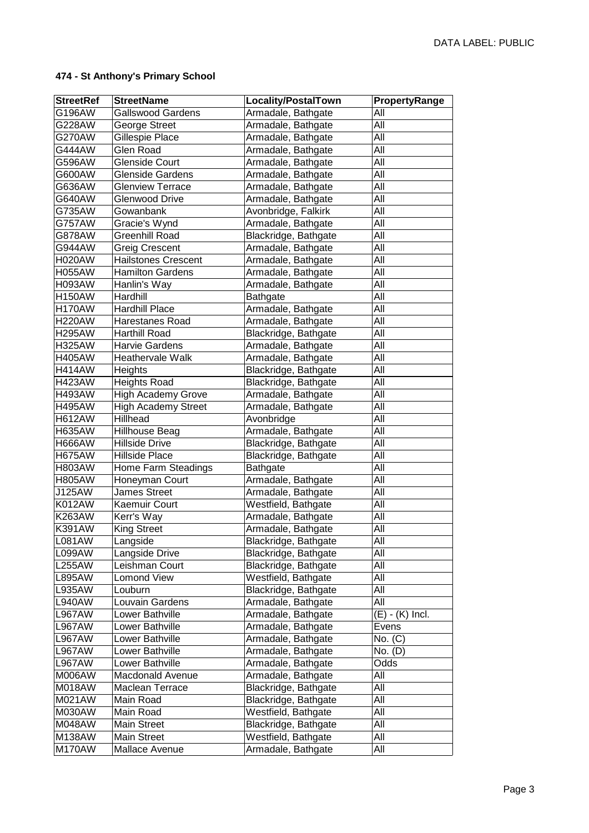| <b>StreetRef</b> | <b>StreetName</b>          | Locality/PostalTown  | PropertyRange     |
|------------------|----------------------------|----------------------|-------------------|
| G196AW           | <b>Gallswood Gardens</b>   | Armadale, Bathgate   | All               |
| G228AW           | George Street              | Armadale, Bathgate   | All               |
| G270AW           | Gillespie Place            | Armadale, Bathgate   | All               |
| G444AW           | <b>Glen Road</b>           | Armadale, Bathgate   | All               |
| G596AW           | <b>Glenside Court</b>      | Armadale, Bathgate   | All               |
| G600AW           | <b>Glenside Gardens</b>    | Armadale, Bathgate   | All               |
| G636AW           | <b>Glenview Terrace</b>    | Armadale, Bathgate   | All               |
| G640AW           | <b>Glenwood Drive</b>      | Armadale, Bathgate   | All               |
| G735AW           | Gowanbank                  | Avonbridge, Falkirk  | All               |
| <b>G757AW</b>    | Gracie's Wynd              | Armadale, Bathgate   | All               |
| G878AW           | <b>Greenhill Road</b>      | Blackridge, Bathgate | All               |
| G944AW           | <b>Greig Crescent</b>      | Armadale, Bathgate   | All               |
| <b>H020AW</b>    | <b>Hailstones Crescent</b> | Armadale, Bathgate   | All               |
| <b>H055AW</b>    | <b>Hamilton Gardens</b>    | Armadale, Bathgate   | All               |
| <b>H093AW</b>    | Hanlin's Way               | Armadale, Bathgate   | All               |
| <b>H150AW</b>    | Hardhill                   | <b>Bathgate</b>      | All               |
| <b>H170AW</b>    | Hardhill Place             | Armadale, Bathgate   | All               |
| <b>H220AW</b>    | Harestanes Road            | Armadale, Bathgate   | All               |
| <b>H295AW</b>    | <b>Harthill Road</b>       | Blackridge, Bathgate | All               |
| <b>H325AW</b>    | <b>Harvie Gardens</b>      | Armadale, Bathgate   | All               |
| <b>H405AW</b>    | Heathervale Walk           | Armadale, Bathgate   | All               |
| <b>H414AW</b>    | Heights                    | Blackridge, Bathgate | All               |
| <b>H423AW</b>    | <b>Heights Road</b>        | Blackridge, Bathgate | All               |
| <b>H493AW</b>    | <b>High Academy Grove</b>  | Armadale, Bathgate   | All               |
| <b>H495AW</b>    | <b>High Academy Street</b> | Armadale, Bathgate   | All               |
| <b>H612AW</b>    | Hillhead                   | Avonbridge           | All               |
| <b>H635AW</b>    | <b>Hillhouse Beag</b>      | Armadale, Bathgate   | All               |
| <b>H666AW</b>    | <b>Hillside Drive</b>      | Blackridge, Bathgate | All               |
| <b>H675AW</b>    | <b>Hillside Place</b>      | Blackridge, Bathgate | All               |
| <b>H803AW</b>    | Home Farm Steadings        | <b>Bathgate</b>      | All               |
| <b>H805AW</b>    | Honeyman Court             | Armadale, Bathgate   | All               |
| J125AW           | <b>James Street</b>        | Armadale, Bathgate   | All               |
| <b>K012AW</b>    | Kaemuir Court              | Westfield, Bathgate  | All               |
| <b>K263AW</b>    | Kerr's Way                 | Armadale, Bathgate   | All               |
| <b>K391AW</b>    | <b>King Street</b>         | Armadale, Bathgate   | All               |
| <b>L081AW</b>    | Langside                   | Blackridge, Bathgate | All               |
| L099AW           | Langside Drive             | Blackridge, Bathgate | All               |
| <b>L255AW</b>    | Leishman Court             | Blackridge, Bathgate | All               |
| <b>L895AW</b>    | Lomond View                | Westfield, Bathgate  | All               |
| <b>L935AW</b>    | Louburn                    | Blackridge, Bathgate | All               |
| <b>L940AW</b>    | Louvain Gardens            | Armadale, Bathgate   | All               |
| <b>L967AW</b>    | Lower Bathville            | Armadale, Bathgate   | $(E) - (K)$ Incl. |
| <b>L967AW</b>    | Lower Bathville            | Armadale, Bathgate   | Evens             |
| <b>L967AW</b>    | Lower Bathville            | Armadale, Bathgate   | No. (C)           |
| <b>L967AW</b>    | Lower Bathville            | Armadale, Bathgate   | No. $(D)$         |
| <b>L967AW</b>    | Lower Bathville            | Armadale, Bathgate   | Odds              |
| M006AW           | <b>Macdonald Avenue</b>    | Armadale, Bathgate   | All               |
| M018AW           | Maclean Terrace            | Blackridge, Bathgate | All               |
| M021AW           | Main Road                  | Blackridge, Bathgate | All               |
| M030AW           | Main Road                  | Westfield, Bathgate  | All               |
| M048AW           | Main Street                | Blackridge, Bathgate | All               |
| M138AW           | <b>Main Street</b>         | Westfield, Bathgate  | All               |
| M170AW           | Mallace Avenue             | Armadale, Bathgate   | All               |
|                  |                            |                      |                   |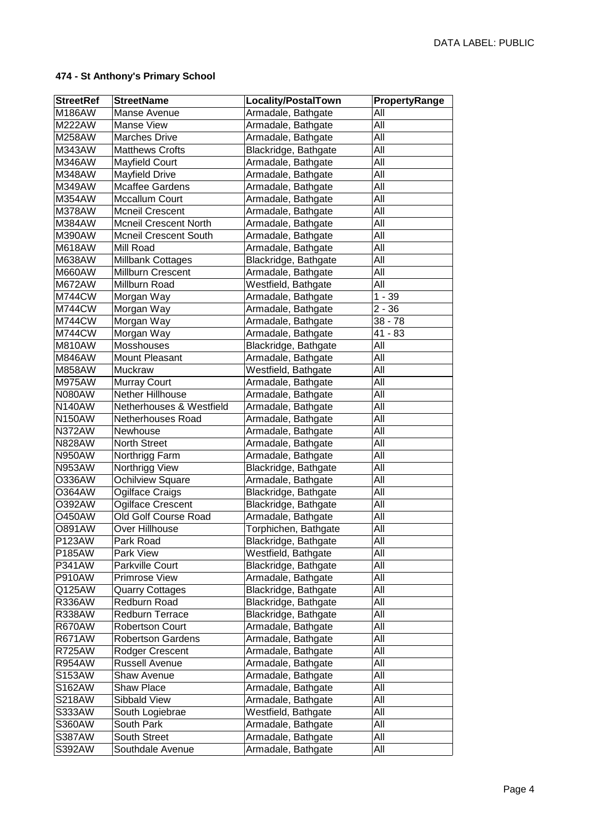| <b>StreetRef</b>               | <b>StreetName</b>                         | Locality/PostalTown                          | PropertyRange |
|--------------------------------|-------------------------------------------|----------------------------------------------|---------------|
| M186AW                         | Manse Avenue                              | Armadale, Bathgate                           | All           |
| <b>M222AW</b>                  | <b>Manse View</b>                         | Armadale, Bathgate                           | All           |
| M258AW                         | <b>Marches Drive</b>                      | Armadale, Bathgate                           | All           |
| M343AW                         | Matthews Crofts                           | Blackridge, Bathgate                         | All           |
| M346AW                         | Mayfield Court                            | Armadale, Bathgate                           | All           |
| <b>M348AW</b>                  | Mayfield Drive                            | Armadale, Bathgate                           | All           |
| M349AW                         | <b>Mcaffee Gardens</b>                    | Armadale, Bathgate                           | All           |
| M354AW                         | <b>Mccallum Court</b>                     | Armadale, Bathgate                           | All           |
| M378AW                         | <b>Mcneil Crescent</b>                    | Armadale, Bathgate                           | All           |
| M384AW                         | <b>Mcneil Crescent North</b>              | Armadale, Bathgate                           | All           |
| M390AW                         | <b>Mcneil Crescent South</b>              | Armadale, Bathgate                           | All           |
| <b>M618AW</b>                  | Mill Road                                 | Armadale, Bathgate                           | All           |
| M638AW                         | Millbank Cottages                         | Blackridge, Bathgate                         | $AI\bar{I}$   |
| <b>M660AW</b>                  | Millburn Crescent                         | Armadale, Bathgate                           | All           |
| <b>M672AW</b>                  | Millburn Road                             | Westfield, Bathgate                          | All           |
| <b>M744CW</b>                  | Morgan Way                                | Armadale, Bathgate                           | $1 - 39$      |
| <b>M744CW</b>                  | Morgan Way                                | Armadale, Bathgate                           | $2 - 36$      |
| <b>M744CW</b>                  | Morgan Way                                | Armadale, Bathgate                           | $38 - 78$     |
| <b>M744CW</b>                  | Morgan Way                                | Armadale, Bathgate                           | $41 - 83$     |
| M810AW                         | Mosshouses                                | Blackridge, Bathgate                         | All           |
| M846AW                         | Mount Pleasant                            | Armadale, Bathgate                           | All           |
| <b>M858AW</b>                  | Muckraw                                   | Westfield, Bathgate                          | All           |
| <b>M975AW</b>                  | <b>Murray Court</b>                       | Armadale, Bathgate                           | All           |
| <b>N080AW</b>                  | Nether Hillhouse                          | Armadale, Bathgate                           | All           |
| <b>N140AW</b>                  | Netherhouses & Westfield                  | Armadale, Bathgate                           | All           |
| <b>N150AW</b>                  | Netherhouses Road                         | Armadale, Bathgate                           | All           |
| <b>N372AW</b>                  | Newhouse                                  |                                              | All           |
| <b>N828AW</b>                  | <b>North Street</b>                       | Armadale, Bathgate<br>Armadale, Bathgate     | All           |
|                                |                                           |                                              | All           |
| <b>N950AW</b><br><b>N953AW</b> | Northrigg Farm                            | Armadale, Bathgate                           | All           |
| O336AW                         | Northrigg View<br><b>Ochilview Square</b> | Blackridge, Bathgate<br>Armadale, Bathgate   | All           |
| O364AW                         | Ogilface Craigs                           |                                              | All           |
| O392AW                         | Ogilface Crescent                         | Blackridge, Bathgate<br>Blackridge, Bathgate | All           |
| <b>O450AW</b>                  | Old Golf Course Road                      | Armadale, Bathgate                           | All           |
| <b>O891AW</b>                  | Over Hillhouse                            | Torphichen, Bathgate                         | All           |
| <b>P123AW</b>                  |                                           | Blackridge, Bathgate                         | All           |
| P185AW                         | Park Road<br>Park View                    |                                              | All           |
| <b>P341AW</b>                  | Parkville Court                           | Westfield, Bathgate<br>Blackridge, Bathgate  | All           |
| <b>P910AW</b>                  | Primrose View                             | Armadale, Bathgate                           | All           |
| Q125AW                         |                                           | Blackridge, Bathgate                         | All           |
| <b>R336AW</b>                  | <b>Quarry Cottages</b><br>Redburn Road    | Blackridge, Bathgate                         | All           |
|                                | Redburn Terrace                           |                                              | All           |
| <b>R338AW</b><br><b>R670AW</b> | <b>Robertson Court</b>                    | Blackridge, Bathgate<br>Armadale, Bathgate   | All           |
|                                |                                           |                                              |               |
| <b>R671AW</b>                  | <b>Robertson Gardens</b>                  | Armadale, Bathgate                           | All           |
| <b>R725AW</b>                  | Rodger Crescent                           | Armadale, Bathgate                           | All           |
| <b>R954AW</b>                  | <b>Russell Avenue</b>                     | Armadale, Bathgate                           | All           |
| S153AW                         | <b>Shaw Avenue</b>                        | Armadale, Bathgate                           | All           |
| S162AW                         | <b>Shaw Place</b>                         | Armadale, Bathgate                           | All           |
| <b>S218AW</b>                  | Sibbald View                              | Armadale, Bathgate                           | All           |
| S333AW                         | South Logiebrae                           | Westfield, Bathgate                          | All           |
| S360AW                         | South Park                                | Armadale, Bathgate                           | All           |
| S387AW                         | South Street                              | Armadale, Bathgate                           | All           |
| S392AW                         | Southdale Avenue                          | Armadale, Bathgate                           | All           |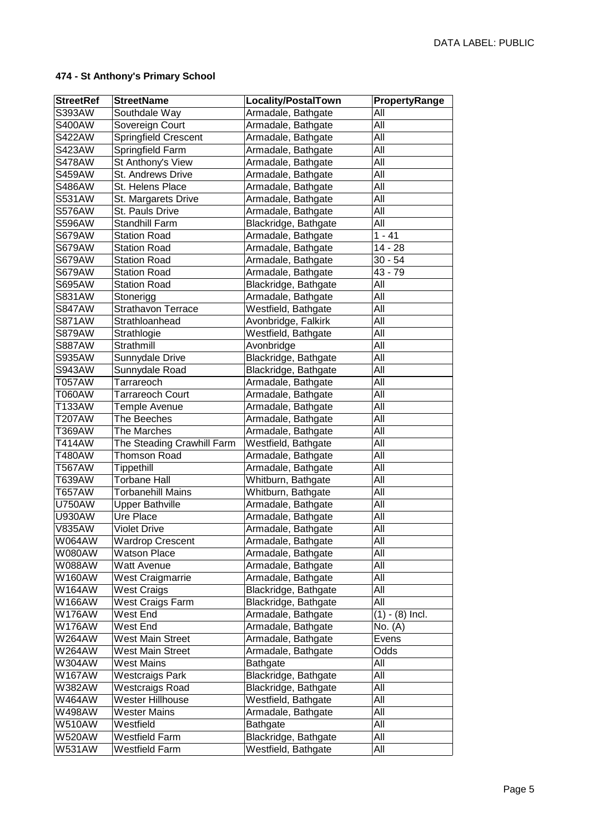| <b>StreetRef</b> | <b>StreetName</b>          | <b>Locality/PostalTown</b> | PropertyRange     |
|------------------|----------------------------|----------------------------|-------------------|
| S393AW           | Southdale Way              | Armadale, Bathgate         | All               |
| <b>S400AW</b>    | Sovereign Court            | Armadale, Bathgate         | All               |
| <b>S422AW</b>    | Springfield Crescent       | Armadale, Bathgate         | All               |
| <b>S423AW</b>    | Springfield Farm           | Armadale, Bathgate         | All               |
| <b>S478AW</b>    | St Anthony's View          | Armadale, Bathgate         | All               |
| <b>S459AW</b>    | St. Andrews Drive          | Armadale, Bathgate         | All               |
| <b>S486AW</b>    | St. Helens Place           | Armadale, Bathgate         | All               |
| <b>S531AW</b>    | St. Margarets Drive        | Armadale, Bathgate         | All               |
| <b>S576AW</b>    | St. Pauls Drive            | Armadale, Bathgate         | All               |
| <b>S596AW</b>    | <b>Standhill Farm</b>      | Blackridge, Bathgate       | All               |
| <b>S679AW</b>    | <b>Station Road</b>        | Armadale, Bathgate         | $1 - 41$          |
| <b>S679AW</b>    | <b>Station Road</b>        | Armadale, Bathgate         | $14 - 28$         |
| <b>S679AW</b>    | <b>Station Road</b>        | Armadale, Bathgate         | $30 - 54$         |
| <b>S679AW</b>    | <b>Station Road</b>        | Armadale, Bathgate         | $43 - 79$         |
| <b>S695AW</b>    | <b>Station Road</b>        | Blackridge, Bathgate       | All               |
| <b>S831AW</b>    | Stonerigg                  | Armadale, Bathgate         | All               |
| <b>S847AW</b>    | <b>Strathavon Terrace</b>  | Westfield, Bathgate        | All               |
| <b>S871AW</b>    | Strathloanhead             | Avonbridge, Falkirk        | All               |
| <b>S879AW</b>    | Strathlogie                | Westfield, Bathgate        | All               |
| <b>S887AW</b>    | Strathmill                 | Avonbridge                 | All               |
| <b>S935AW</b>    | Sunnydale Drive            | Blackridge, Bathgate       | All               |
| <b>S943AW</b>    | Sunnydale Road             | Blackridge, Bathgate       | All               |
| <b>T057AW</b>    | Tarrareoch                 | Armadale, Bathgate         | All               |
| <b>T060AW</b>    | <b>Tarrareoch Court</b>    | Armadale, Bathgate         | All               |
| T133AW           | Temple Avenue              | Armadale, Bathgate         | All               |
| <b>T207AW</b>    | The Beeches                | Armadale, Bathgate         | All               |
| T369AW           | The Marches                | Armadale, Bathgate         | All               |
| T414AW           | The Steading Crawhill Farm | Westfield, Bathgate        | All               |
| T480AW           | <b>Thomson Road</b>        | Armadale, Bathgate         | All               |
| <b>T567AW</b>    | <b>Tippethill</b>          | Armadale, Bathgate         | All               |
| T639AW           | <b>Torbane Hall</b>        | Whitburn, Bathgate         | All               |
| T657AW           | <b>Torbanehill Mains</b>   | Whitburn, Bathgate         | All               |
| <b>U750AW</b>    | <b>Upper Bathville</b>     | Armadale, Bathgate         | All               |
| <b>U930AW</b>    | Ure Place                  | Armadale, Bathgate         | All               |
| <b>V835AW</b>    | <b>Violet Drive</b>        | Armadale, Bathgate         | All               |
| W064AW           | <b>Wardrop Crescent</b>    | Armadale, Bathgate         | All               |
| W080AW           | <b>Watson Place</b>        | Armadale, Bathgate         | All               |
| W088AW           | <b>Watt Avenue</b>         | Armadale, Bathgate         | All               |
| W160AW           | <b>West Craigmarrie</b>    | Armadale, Bathgate         | All               |
| W164AW           | <b>West Craigs</b>         | Blackridge, Bathgate       | All               |
| W166AW           | West Craigs Farm           | Blackridge, Bathgate       | $\overline{All}$  |
| W176AW           | West End                   | Armadale, Bathgate         | $(1) - (8)$ Incl. |
| <b>W176AW</b>    | West End                   | Armadale, Bathgate         | No. (A)           |
| <b>W264AW</b>    | West Main Street           | Armadale, Bathgate         | Evens             |
| W264AW           | <b>West Main Street</b>    | Armadale, Bathgate         | Odds              |
| W304AW           | <b>West Mains</b>          | Bathgate                   | All               |
| <b>W167AW</b>    | <b>Westcraigs Park</b>     | Blackridge, Bathgate       | $\overline{All}$  |
| W382AW           | <b>Westcraigs Road</b>     | Blackridge, Bathgate       | All               |
| W464AW           | Wester Hillhouse           | Westfield, Bathgate        | All               |
| W498AW           | <b>Wester Mains</b>        | Armadale, Bathgate         | All               |
| <b>W510AW</b>    | Westfield                  | Bathgate                   | All               |
| <b>W520AW</b>    | Westfield Farm             | Blackridge, Bathgate       | All               |
| <b>W531AW</b>    | <b>Westfield Farm</b>      | Westfield, Bathgate        | All               |